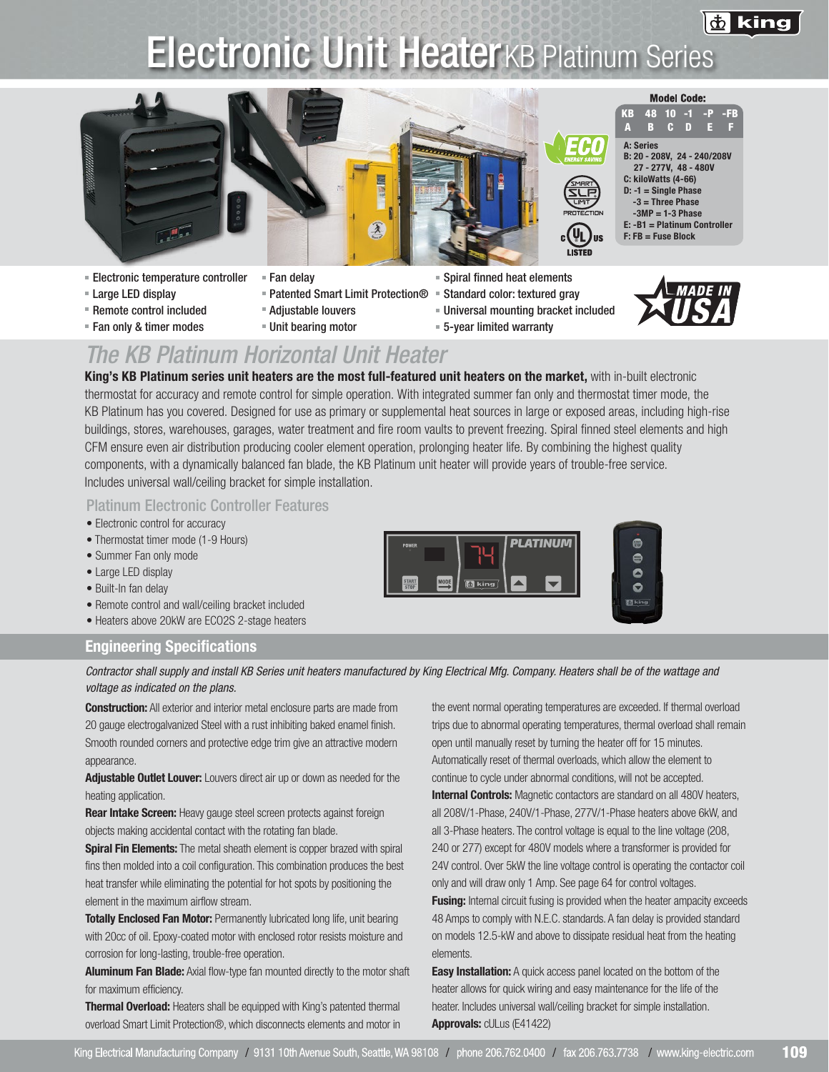

# **Electronic Unit HeaterKB Platinum Series**





**Mes** 至

- **Model Code:**
- A: Series B: 20 - 208V, 24 - 240/208V 27 - 277V, 48 - 480V C: kiloWatts (4-66)  $D: -1 =$  Single Phase -3 = Three Phase  $-3MP = 1-3 Phase$ E: -B1 = Platinum Controller F: FB = Fuse Block KB A 48 10 -1 -P B C D E -FB F

US

- Electronic temperature controller = Fan delay Spiral finned heat elements
- 
- 
- -
- 
- 
- 
- Large LED display Patented Smart Limit Protection® Standard color: textured gray
- **Remote control included The Adjustable louvers Adjustic Control included The Adjustable louvers** Puniversal mounting bracket included
- Fan only & timer modes Unit bearing motor 5-year limited warranty



## *The KB Platinum Horizontal Unit Heater*

King's KB Platinum series unit heaters are the most full-featured unit heaters on the market, with in-built electronic thermostat for accuracy and remote control for simple operation. With integrated summer fan only and thermostat timer mode, the KB Platinum has you covered. Designed for use as primary or supplemental heat sources in large or exposed areas, including high-rise buildings, stores, warehouses, garages, water treatment and fire room vaults to prevent freezing. Spiral finned steel elements and high CFM ensure even air distribution producing cooler element operation, prolonging heater life. By combining the highest quality components, with a dynamically balanced fan blade, the KB Platinum unit heater will provide years of trouble-free service. Includes universal wall/ceiling bracket for simple installation.

### Platinum Electronic Controller Features

- Electronic control for accuracy
- Thermostat timer mode (1-9 Hours)
- Summer Fan only mode
- Large LED display
- Built-In fan delay
- Remote control and wall/ceiling bracket included
- Heaters above 20kW are ECO2S 2-stage heaters

#### Engineering Specifications



*Contractor shall supply and install KB Series unit heaters manufactured by King Electrical Mfg. Company. Heaters shall be of the wattage and voltage as indicated on the plans.*

**Construction:** All exterior and interior metal enclosure parts are made from 20 gauge electrogalvanized Steel with a rust inhibiting baked enamel finish. Smooth rounded corners and protective edge trim give an attractive modern appearance.

Adjustable Outlet Louver: Louvers direct air up or down as needed for the heating application.

Rear Intake Screen: Heavy gauge steel screen protects against foreign objects making accidental contact with the rotating fan blade.

Spiral Fin Elements: The metal sheath element is copper brazed with spiral fins then molded into a coil configuration. This combination produces the best heat transfer while eliminating the potential for hot spots by positioning the element in the maximum airflow stream.

**Totally Enclosed Fan Motor:** Permanently lubricated long life, unit bearing with 20cc of oil. Epoxy-coated motor with enclosed rotor resists moisture and corrosion for long-lasting, trouble-free operation.

Aluminum Fan Blade: Axial flow-type fan mounted directly to the motor shaft for maximum efficiency.

**Thermal Overload:** Heaters shall be equipped with King's patented thermal overload Smart Limit Protection®, which disconnects elements and motor in the event normal operating temperatures are exceeded. If thermal overload trips due to abnormal operating temperatures, thermal overload shall remain open until manually reset by turning the heater off for 15 minutes. Automatically reset of thermal overloads, which allow the element to continue to cycle under abnormal conditions, will not be accepted.

 $\bullet$  $\bullet$  $\bullet$ 

 $\bullet$ **Ed kins** 

Internal Controls: Magnetic contactors are standard on all 480V heaters, all 208V/1-Phase, 240V/1-Phase, 277V/1-Phase heaters above 6kW, and all 3-Phase heaters. The control voltage is equal to the line voltage (208, 240 or 277) except for 480V models where a transformer is provided for 24V control. Over 5kW the line voltage control is operating the contactor coil only and will draw only 1 Amp. See page 64 for control voltages.

**Fusing:** Internal circuit fusing is provided when the heater ampacity exceeds 48 Amps to comply with N.E.C. standards. A fan delay is provided standard on models 12.5-kW and above to dissipate residual heat from the heating elements.

**Easy Installation:** A quick access panel located on the bottom of the heater allows for quick wiring and easy maintenance for the life of the heater. Includes universal wall/ceiling bracket for simple installation. Approvals: cULus (E41422)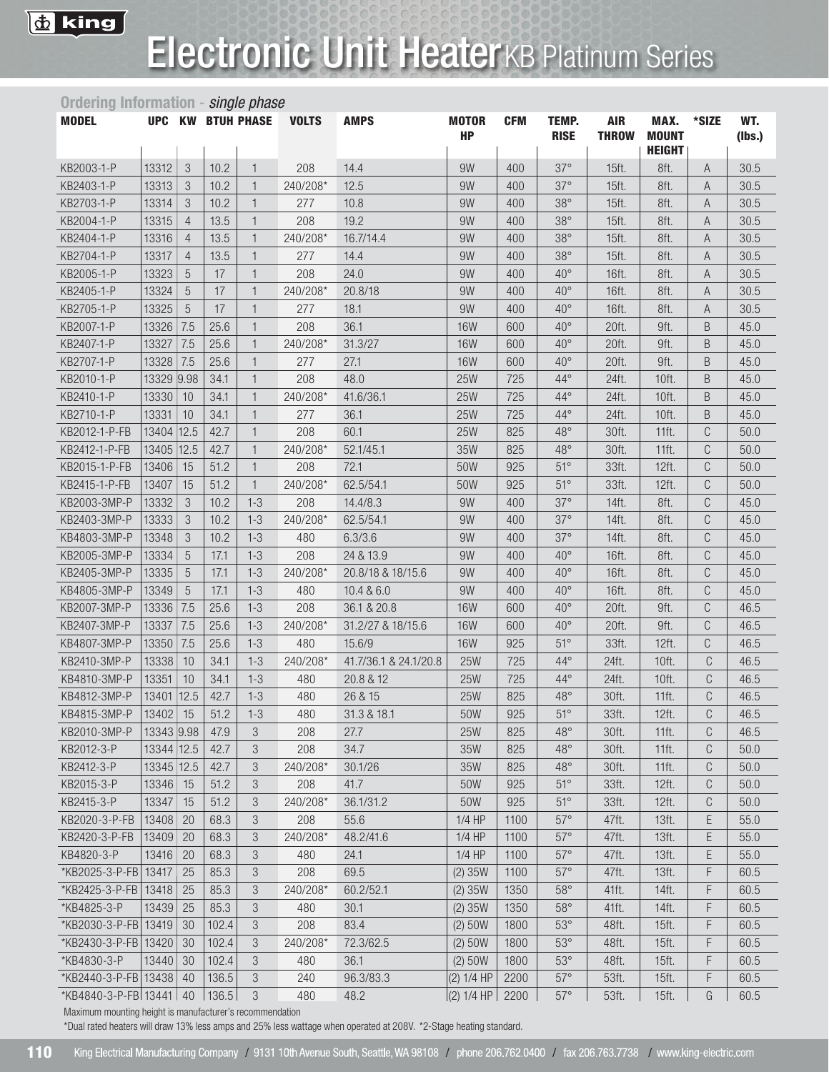

# Electronic Unit HeaterKB Platinum Series

| Ordering Information - single phase |            |                |       |                          |              |                       |                           |            |                             |                            |                                       |       |               |
|-------------------------------------|------------|----------------|-------|--------------------------|--------------|-----------------------|---------------------------|------------|-----------------------------|----------------------------|---------------------------------------|-------|---------------|
| <b>MODEL</b>                        |            |                |       | <b>UPC KW BTUH PHASE</b> | <b>VOLTS</b> | <b>AMPS</b>           | <b>MOTOR</b><br><b>HP</b> | <b>CFM</b> | <b>TEMP.</b><br><b>RISE</b> | <b>AIR</b><br><b>THROW</b> | MAX.<br><b>MOUNT</b><br><b>HEIGHT</b> | *SIZE | WT.<br>(Ibs.) |
| KB2003-1-P                          | 13312      | $\sqrt{3}$     | 10.2  | $\mathbf{1}$             | 208          | 14.4                  | 9W                        | 400        | $37^\circ$                  | 15ft.                      | 8ft.                                  | A     | 30.5          |
| KB2403-1-P                          | 13313      | 3              | 10.2  | $\mathbf{1}$             | 240/208*     | 12.5                  | 9W                        | 400        | $37^\circ$                  | 15ft.                      | 8ft.                                  | A     | 30.5          |
| KB2703-1-P                          | 13314      | 3              | 10.2  | $\mathbf{1}$             | 277          | 10.8                  | 9W                        | 400        | $38^\circ$                  | 15ft.                      | 8ft.                                  | A     | 30.5          |
| KB2004-1-P                          | 13315      | $\overline{4}$ | 13.5  | $\mathbf{1}$             | 208          | 19.2                  | 9W                        | 400        | $38^\circ$                  | 15ft.                      | 8ft.                                  | A     | 30.5          |
| KB2404-1-P                          | 13316      | $\overline{4}$ | 13.5  | $\mathbf{1}$             | 240/208*     | 16.7/14.4             | 9W                        | 400        | $38^\circ$                  | 15ft.                      | 8ft.                                  | A     | 30.5          |
| KB2704-1-P                          | 13317      | $\overline{4}$ | 13.5  | $\mathbf{1}$             | 277          | 14.4                  | 9W                        | 400        | $38^\circ$                  | 15ft.                      | 8ft.                                  | A     | 30.5          |
| KB2005-1-P                          | 13323      | 5              | 17    | $\mathbf{1}$             | 208          | 24.0                  | 9W                        | 400        | $40^{\circ}$                | 16ft.                      | 8ft.                                  | A     | 30.5          |
| KB2405-1-P                          | 13324      | 5              | 17    | $\mathbf{1}$             | 240/208*     | 20.8/18               | 9W                        | 400        | $40^{\circ}$                | 16ft.                      | 8ft.                                  | A     | 30.5          |
| KB2705-1-P                          | 13325      | $\sqrt{5}$     | 17    | $\mathbf{1}$             | 277          | 18.1                  | 9W                        | 400        | $40^{\circ}$                | 16ft.                      | 8ft.                                  | A     | 30.5          |
| KB2007-1-P                          | 13326      | 7.5            | 25.6  | $\mathbf{1}$             | 208          | 36.1                  | <b>16W</b>                | 600        | $40^{\circ}$                | 20ft.                      | 9ft.                                  | B     | 45.0          |
| KB2407-1-P                          | 13327      | 7.5            | 25.6  | $\mathbf{1}$             | 240/208*     | 31.3/27               | <b>16W</b>                | 600        | $40^{\circ}$                | 20ft.                      | 9ft.                                  | B     | 45.0          |
| KB2707-1-P                          | 13328      | 7.5            | 25.6  | $\mathbf{1}$             | 277          | 27.1                  | <b>16W</b>                | 600        | $40^{\circ}$                | 20ft.                      | 9ft.                                  | B     | 45.0          |
| KB2010-1-P                          | 13329 9.98 |                | 34.1  | $\mathbf{1}$             | 208          | 48.0                  | <b>25W</b>                | 725        | $44^{\circ}$                | 24ft.                      | 10ft.                                 | B     | 45.0          |
| KB2410-1-P                          | 13330      | 10             | 34.1  | $\mathbf{1}$             | 240/208*     | 41.6/36.1             | <b>25W</b>                | 725        | $44^\circ$                  | 24ft.                      | 10ft.                                 | B     | 45.0          |
| KB2710-1-P                          | 13331      | 10             | 34.1  | $\mathbf{1}$             | 277          | 36.1                  | <b>25W</b>                | 725        | $44^\circ$                  | 24ft.                      | 10ft.                                 | B     | 45.0          |
| KB2012-1-P-FB                       | 13404      | 12.5           | 42.7  | $\mathbf{1}$             | 208          | 60.1                  | <b>25W</b>                | 825        | $48^{\circ}$                | 30ft.                      | 11ft.                                 | C     | 50.0          |
| KB2412-1-P-FB                       | 13405      | 12.5           | 42.7  | $\mathbf{1}$             | 240/208*     | 52.1/45.1             | 35W                       | 825        | $48^\circ$                  | 30ft.                      | 11ft.                                 | C     | 50.0          |
| KB2015-1-P-FB                       | 13406      | 15             | 51.2  | $\mathbf{1}$             | 208          | 72.1                  | 50W                       | 925        | $51^\circ$                  | 33ft.                      | 12ft.                                 | C     | 50.0          |
| KB2415-1-P-FB                       | 13407      | 15             | 51.2  | $\mathbf{1}$             | 240/208*     | 62.5/54.1             | 50W                       | 925        | $51^\circ$                  | 33ft.                      | 12ft.                                 | C     | 50.0          |
| KB2003-3MP-P                        | 13332      | 3              | 10.2  | $1 - 3$                  | 208          | 14.4/8.3              | 9W                        | 400        | $37^\circ$                  | 14ft.                      | 8ft.                                  | C     | 45.0          |
| KB2403-3MP-P                        | 13333      | 3              | 10.2  | $1 - 3$                  | 240/208*     | 62.5/54.1             | 9W                        | 400        | $37^\circ$                  | 14ft.                      | 8ft.                                  | C     | 45.0          |
| KB4803-3MP-P                        | 13348      | 3              | 10.2  | $1 - 3$                  | 480          | 6.3/3.6               | 9W                        | 400        | $37^\circ$                  | 14ft.                      | 8ft.                                  | C     | 45.0          |
| KB2005-3MP-P                        | 13334      | 5              | 17.1  | $1 - 3$                  | 208          | 24 & 13.9             | 9W                        | 400        | $40^{\circ}$                | 16ft.                      | 8ft.                                  | C     | 45.0          |
| KB2405-3MP-P                        | 13335      | 5              | 17.1  | $1 - 3$                  | 240/208*     | 20.8/18 & 18/15.6     | 9W                        | 400        | $40^{\circ}$                | 16ft.                      | 8ft.                                  | C     | 45.0          |
| KB4805-3MP-P                        | 13349      | 5              | 17.1  | $1 - 3$                  | 480          | 10.4 & 6.0            | 9W                        | 400        | $40^{\circ}$                | 16ft.                      | 8ft.                                  | C     | 45.0          |
| KB2007-3MP-P                        | 13336      | 7.5            | 25.6  | $1 - 3$                  | 208          | 36.1 & 20.8           | <b>16W</b>                | 600        | $40^{\circ}$                | 20ft.                      | 9ft.                                  | C     | 46.5          |
| KB2407-3MP-P                        | 13337      | 7.5            | 25.6  | $1 - 3$                  | 240/208*     | 31.2/27 & 18/15.6     | <b>16W</b>                | 600        | $40^{\circ}$                | 20ft.                      | 9ft.                                  | C     | 46.5          |
| KB4807-3MP-P                        | 13350      | 7.5            | 25.6  | $1 - 3$                  | 480          | 15.6/9                | <b>16W</b>                | 925        | $51^\circ$                  | 33ft.                      | 12ft.                                 | C     | 46.5          |
| KB2410-3MP-P                        | 13338      | 10             | 34.1  | $1 - 3$                  | 240/208*     | 41.7/36.1 & 24.1/20.8 | <b>25W</b>                | 725        | $44^{\circ}$                | 24ft.                      | 10ft.                                 | C     | 46.5          |
| KB4810-3MP-P                        | 13351      | 10             | 34.1  | $1 - 3$                  | 480          | 20.8 & 12             | <b>25W</b>                | 725        | $44^\circ$                  | 24ft.                      | 10ft.                                 | C     | 46.5          |
| KB4812-3MP-P                        | 13401 12.5 |                | 42.7  | $1 - 3$                  | 480          | 26 & 15               | <b>25W</b>                | 825        | $48^\circ$                  | 30ft.                      | 11ft.                                 | C     | 46.5          |
| KB4815-3MP-P                        | 13402      | 15             | 51.2  | $1 - 3$                  | 480          | 31.3 & 18.1           | 50W                       | 925        | $51^\circ$                  | 33ft.                      | 12ft.                                 | C     | 46.5          |
| KB2010-3MP-P                        | 13343 9.98 |                | 47.9  | 3                        | 208          | 27.7                  | <b>25W</b>                | 825        | $48^\circ$                  | 30ft.                      | 11ft.                                 | C     | 46.5          |
| KB2012-3-P                          | 13344 12.5 |                | 42.7  | 3                        | 208          | 34.7                  | 35W                       | 825        | $48^\circ$                  | 30ft.                      | 11ft.                                 | C     | 50.0          |
| KB2412-3-P                          | 13345 12.5 |                | 42.7  | 3                        | 240/208*     | 30.1/26               | 35W                       | 825        | $48^\circ$                  | 30ft.                      | 11ft.                                 | C     | 50.0          |
| KB2015-3-P                          | 13346      | 15             | 51.2  | 3                        | 208          | 41.7                  | 50W                       | 925        | $51^\circ$                  | 33ft.                      | 12ft.                                 | C     | 50.0          |
| KB2415-3-P                          | 13347      | 15             | 51.2  | 3                        | 240/208*     | 36.1/31.2             | 50W                       | 925        | $51^\circ$                  | 33ft.                      | 12ft.                                 | C     | 50.0          |
| KB2020-3-P-FB                       | 13408      | 20             | 68.3  | 3                        | 208          | 55.6                  | $1/4$ HP                  | 1100       | $57^\circ$                  | 47ft.                      | 13ft.                                 | Ε     | 55.0          |
| KB2420-3-P-FB                       | 13409      | 20             | 68.3  | 3                        | 240/208*     | 48.2/41.6             | $1/4$ HP                  | 1100       | $57^\circ$                  | 47ft.                      | 13ft.                                 | Ε     | 55.0          |
| KB4820-3-P                          | 13416      | 20             | 68.3  | 3                        | 480          | 24.1                  | $1/4$ HP                  | 1100       | $57^\circ$                  | 47ft.                      | 13ft.                                 | Ε     | 55.0          |
| *KB2025-3-P-FB 13417                |            | 25             | 85.3  | 3                        | 208          | 69.5                  | (2) 35W                   | 1100       | $57^\circ$                  | 47ft.                      | 13ft.                                 | F     | 60.5          |
| *KB2425-3-P-FB   13418              |            | 25             | 85.3  | 3                        | 240/208*     | 60.2/52.1             | (2) 35W                   | 1350       | $58^\circ$                  | 41ft.                      | 14ft.                                 | F     | 60.5          |
| *KB4825-3-P                         | 13439      | 25             | 85.3  | 3                        | 480          | 30.1                  | (2) 35W                   | 1350       | $58^\circ$                  | 41ft.                      | 14ft.                                 | F     | 60.5          |
| *KB2030-3-P-FB 13419                |            | 30             | 102.4 | 3                        | 208          | 83.4                  | (2) 50W                   | 1800       | $53^\circ$                  | 48ft.                      | 15ft.                                 | F     | 60.5          |
| *KB2430-3-P-FB 13420                |            | 30             | 102.4 | 3                        | 240/208*     | 72.3/62.5             | (2) 50W                   | 1800       | $53^\circ$                  | 48ft.                      | 15ft.                                 | F     | 60.5          |
| *KB4830-3-P                         | 13440      | 30             | 102.4 | 3                        | 480          | 36.1                  | (2) 50W                   | 1800       | $53^\circ$                  | 48ft.                      | 15ft.                                 | F     | 60.5          |
| *KB2440-3-P-FB 13438                |            | 40             | 136.5 | 3                        | 240          | 96.3/83.3             | (2) 1/4 HP                | 2200       | $57^\circ$                  | 53ft.                      | 15ft.                                 | F     | 60.5          |
| *KB4840-3-P-FB 13441   40           |            |                | 136.5 | 3                        | 480          | 48.2                  | (2) 1/4 HP                | 2200       | $57^\circ$                  | 53ft.                      | 15ft.                                 | G     | 60.5          |

Maximum mounting height is manufacturer's recommendation

\*Dual rated heaters will draw 13% less amps and 25% less wattage when operated at 208V. \*2-Stage heating standard.